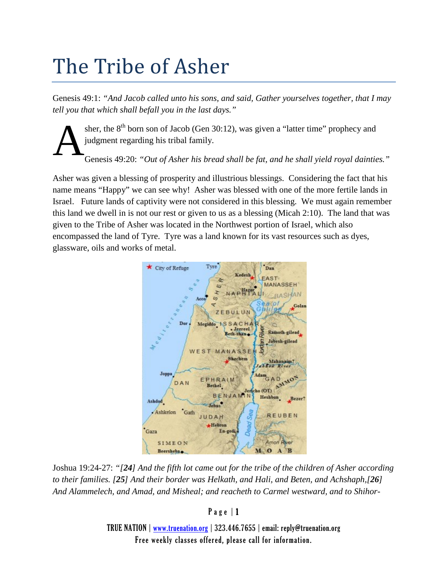## The Tribe of Asher

Genesis 49:1: *"And Jacob called unto his sons, and said, Gather yourselves together, that I may tell you that which shall befall you in the last days."*

sher, the  $8<sup>th</sup>$  born son of Jacob (Gen 30:12), was given a "latter time" prophecy and judgment regarding his tribal family. A

Genesis 49:20: *"Out of Asher his bread shall be fat, and he shall yield royal dainties."*

Asher was given a blessing of prosperity and illustrious blessings. Considering the fact that his name means "Happy" we can see why! Asher was blessed with one of the more fertile lands in Israel. Future lands of captivity were not considered in this blessing. We must again remember this land we dwell in is not our rest or given to us as a blessing (Micah 2:10). The land that was given to the Tribe of Asher was located in the Northwest portion of Israel, which also encompassed the land of Tyre. Tyre was a land known for its vast resources such as dyes, glassware, oils and works of metal.



Joshua 19:24-27: *"[24] And the fifth lot came out for the tribe of the children of Asher according to their families. [25] And their border was Helkath, and Hali, and Beten, and Achshaph,[26] And Alammelech, and Amad, and Misheal; and reacheth to Carmel westward, and to Shihor-*

## Page | 1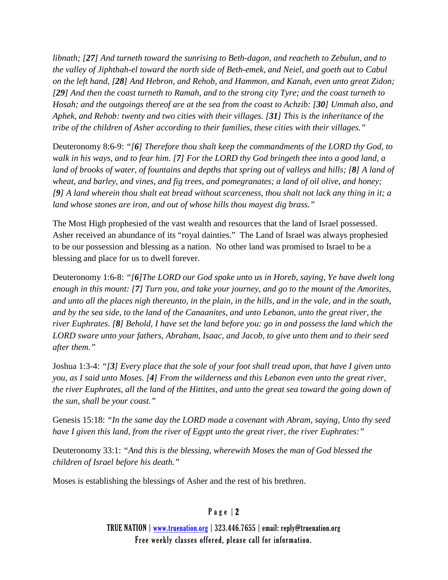*libnath; [27] And turneth toward the sunrising to Beth-dagon, and reacheth to Zebulun, and to the valley of Jiphthah-el toward the north side of Beth-emek, and Neiel, and goeth out to Cabul on the left hand, [28] And Hebron, and Rehob, and Hammon, and Kanah, even unto great Zidon; [29] And then the coast turneth to Ramah, and to the strong city Tyre; and the coast turneth to Hosah; and the outgoings thereof are at the sea from the coast to Achzib: [30] Ummah also, and Aphek, and Rehob: twenty and two cities with their villages. [31] This is the inheritance of the tribe of the children of Asher according to their families, these cities with their villages."*

Deuteronomy 8:6-9: *"[6] Therefore thou shalt keep the commandments of the LORD thy God, to walk in his ways, and to fear him. [7] For the LORD thy God bringeth thee into a good land, a land of brooks of water, of fountains and depths that spring out of valleys and hills; [8] A land of wheat, and barley, and vines, and fig trees, and pomegranates; a land of oil olive, and honey; [9] A land wherein thou shalt eat bread without scarceness, thou shalt not lack any thing in it; a land whose stones are iron, and out of whose hills thou mayest dig brass."*

The Most High prophesied of the vast wealth and resources that the land of Israel possessed. Asher received an abundance of its "royal dainties." The Land of Israel was always prophesied to be our possession and blessing as a nation. No other land was promised to Israel to be a blessing and place for us to dwell forever.

Deuteronomy 1:6-8: *"[6]The LORD our God spake unto us in Horeb, saying, Ye have dwelt long enough in this mount: [7] Turn you, and take your journey, and go to the mount of the Amorites, and unto all the places nigh thereunto, in the plain, in the hills, and in the vale, and in the south, and by the sea side, to the land of the Canaanites, and unto Lebanon, unto the great river, the river Euphrates. [8] Behold, I have set the land before you: go in and possess the land which the LORD sware unto your fathers, Abraham, Isaac, and Jacob, to give unto them and to their seed after them."*

Joshua 1:3-4: *"[3] Every place that the sole of your foot shall tread upon, that have I given unto you, as I said unto Moses. [4] From the wilderness and this Lebanon even unto the great river, the river Euphrates, all the land of the Hittites, and unto the great sea toward the going down of the sun, shall be your coast."*

Genesis 15:18: *"In the same day the LORD made a covenant with Abram, saying, Unto thy seed have I given this land, from the river of Egypt unto the great river, the river Euphrates:"*

Deuteronomy 33:1: *"And this is the blessing, wherewith Moses the man of God blessed the children of Israel before his death."*

Moses is establishing the blessings of Asher and the rest of his brethren.

## Page | 2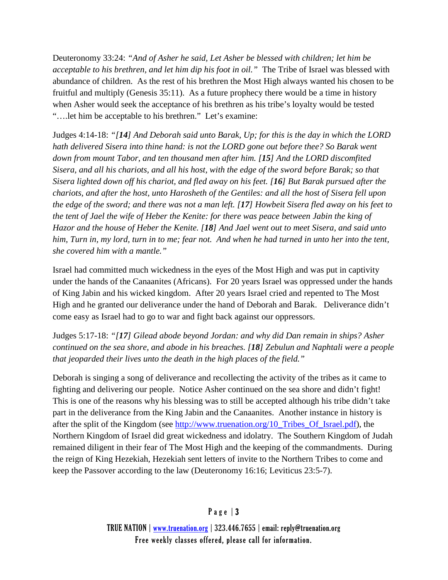Deuteronomy 33:24: *"And of Asher he said, Let Asher be blessed with children; let him be acceptable to his brethren, and let him dip his foot in oil."* The Tribe of Israel was blessed with abundance of children. As the rest of his brethren the Most High always wanted his chosen to be fruitful and multiply (Genesis 35:11). As a future prophecy there would be a time in history when Asher would seek the acceptance of his brethren as his tribe's loyalty would be tested "….let him be acceptable to his brethren." Let's examine:

Judges 4:14-18: *"[14] And Deborah said unto Barak, Up; for this is the day in which the LORD hath delivered Sisera into thine hand: is not the LORD gone out before thee? So Barak went down from mount Tabor, and ten thousand men after him. [15] And the LORD discomfited Sisera, and all his chariots, and all his host, with the edge of the sword before Barak; so that Sisera lighted down off his chariot, and fled away on his feet. [16] But Barak pursued after the chariots, and after the host, unto Harosheth of the Gentiles: and all the host of Sisera fell upon the edge of the sword; and there was not a man left. [17] Howbeit Sisera fled away on his feet to the tent of Jael the wife of Heber the Kenite: for there was peace between Jabin the king of Hazor and the house of Heber the Kenite. [18] And Jael went out to meet Sisera, and said unto him, Turn in, my lord, turn in to me; fear not. And when he had turned in unto her into the tent, she covered him with a mantle."*

Israel had committed much wickedness in the eyes of the Most High and was put in captivity under the hands of the Canaanites (Africans). For 20 years Israel was oppressed under the hands of King Jabin and his wicked kingdom. After 20 years Israel cried and repented to The Most High and he granted our deliverance under the hand of Deborah and Barak. Deliverance didn't come easy as Israel had to go to war and fight back against our oppressors.

Judges 5:17-18: *"[17] Gilead abode beyond Jordan: and why did Dan remain in ships? Asher continued on the sea shore, and abode in his breaches. [18] Zebulun and Naphtali were a people that jeoparded their lives unto the death in the high places of the field."*

Deborah is singing a song of deliverance and recollecting the activity of the tribes as it came to fighting and delivering our people. Notice Asher continued on the sea shore and didn't fight! This is one of the reasons why his blessing was to still be accepted although his tribe didn't take part in the deliverance from the King Jabin and the Canaanites. Another instance in history is after the split of the Kingdom (see [http://www.truenation.org/10\\_Tribes\\_Of\\_Israel.pdf\)](http://www.truenation.org/10_Tribes_Of_Israel.pdf), the Northern Kingdom of Israel did great wickedness and idolatry. The Southern Kingdom of Judah remained diligent in their fear of The Most High and the keeping of the commandments. During the reign of King Hezekiah, Hezekiah sent letters of invite to the Northern Tribes to come and keep the Passover according to the law (Deuteronomy 16:16; Leviticus 23:5-7).